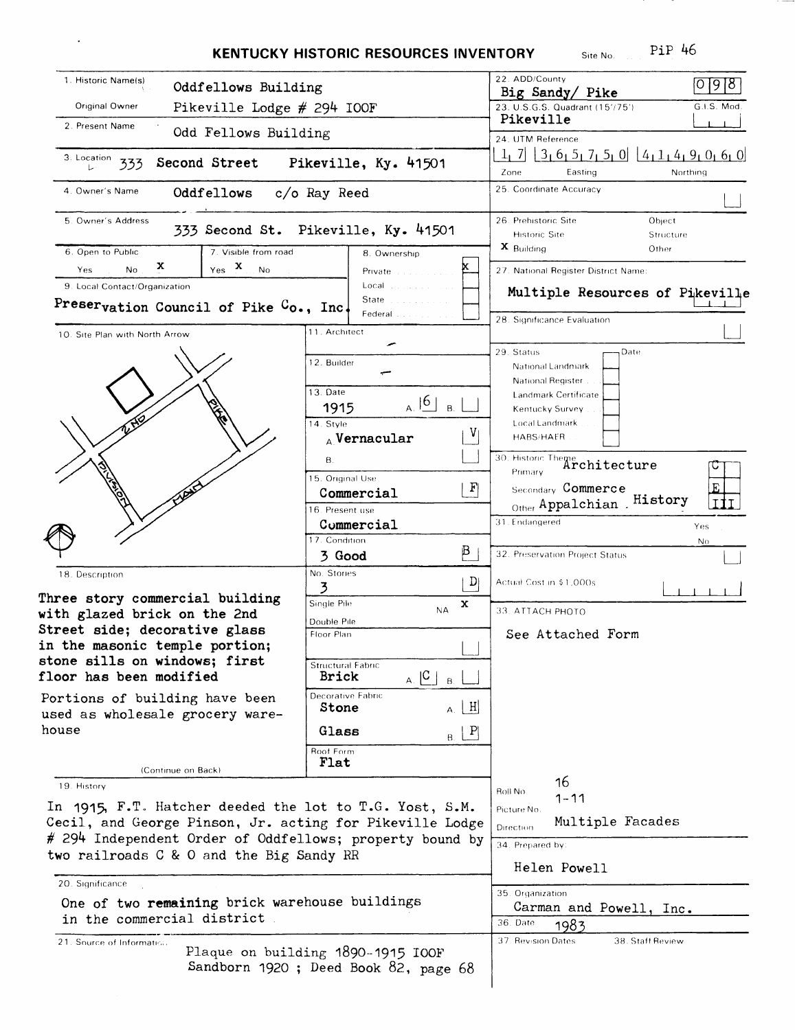|                                                                                        | <b>KENTUCKY HISTORIC RESOURCES INVENTORY</b>                              | Site No.<br>22. ADD/County                                          |             |
|----------------------------------------------------------------------------------------|---------------------------------------------------------------------------|---------------------------------------------------------------------|-------------|
| 1. Historic Name(s)                                                                    | Oddfellows Building                                                       |                                                                     | [0]9[8]     |
| Original Owner                                                                         | Pikeville Lodge # 294 IOOF                                                |                                                                     | G.I.S. Mod. |
| 2. Present Name<br>Odd Fellows Building                                                |                                                                           | Pikeville<br>24. UTM Reference                                      |             |
| 3. Location<br>Second Street<br>Pikeville, Ky. 41501<br>333                            |                                                                           | $1, 7$ $3, 6, 5, 7, 5, 0$ $4, 1, 4, 9, 0, 6, 0$<br>Zone<br>Easting  | Northing    |
| 4. Owner's Name<br>Oddfellows                                                          | $c/o$ Ray Reed                                                            | 25. Coordinate Accuracy                                             |             |
| 5. Owner's Address                                                                     | 333 Second St. Pikeville, Ky. 41501                                       | 26. Prehistoric Site<br>Object<br><b>Historic Site</b><br>Structure |             |
| 7. Visible from road<br>6. Open to Public<br>x<br>$Y_{\text{es}}$ X<br>$\sim$ No<br>No | 8. Ownership                                                              | $\mathbf{x}$ Building<br>Other                                      |             |
| Yes<br>9. Local Contact/Organization                                                   | Private<br>Local                                                          | 27. National Register District Name:                                |             |
| Preservation Council of Pike Co., Inc.                                                 | State<br>Federal                                                          | Multiple Resources of Pikeville                                     |             |
| 10. Site Plan with North Arrow                                                         | 11. Architect                                                             | 28. Significance Evaluation                                         |             |
|                                                                                        | 12. Builder                                                               | 29. Status<br>Date                                                  |             |
|                                                                                        |                                                                           | National Landmark<br>National Register                              |             |
|                                                                                        | 13. Date<br>$_{A.}$ $ 6 _{B.}$                                            | Landmark Certificate                                                |             |
|                                                                                        | 1915                                                                      | Kentucky Survey<br>Local Landmark                                   |             |
|                                                                                        | 14. Style<br>$_{A}$ Vernacular                                            | <b>HABS/HAER</b>                                                    |             |
|                                                                                        | В.                                                                        | 30. Historic Theme Architecture                                     |             |
|                                                                                        | 15. Original Use                                                          |                                                                     |             |
|                                                                                        | $\vert \Gamma \vert$<br>Commercial                                        | Secondary Commerce<br>Other Appalchian . History                    |             |
|                                                                                        | 16. Present use<br>Commercial                                             | 31. Endangered                                                      |             |
|                                                                                        | 17. Condition                                                             |                                                                     | Yes<br>Nο   |
|                                                                                        | B<br>3 Good                                                               | 32. Preservation Project Status                                     |             |
| 18. Description                                                                        | No. Stories<br>$\mathbf{D}$                                               | Actual Cost in \$1,000s                                             |             |
| Three story commercial building                                                        | 3<br>Single Pile<br>x                                                     |                                                                     |             |
| with glazed brick on the 2nd                                                           | <b>NA</b><br>Double Pile                                                  | 33. ATTACH PHOTO                                                    |             |
| Street side; decorative glass                                                          | Floor Plan                                                                | See Attached Form                                                   |             |
| in the masonic temple portion;<br>stone sills on windows; first                        |                                                                           |                                                                     |             |
| floor has been modified                                                                | Structural Fabric<br>$_{A.}$ $ C $<br><b>Brick</b><br>B.                  |                                                                     |             |
| Portions of building have been                                                         | Decorative Fabric<br> H <br>Stone<br>Α.                                   |                                                                     |             |
| used as wholesale grocery ware-<br>house                                               | Glass<br>$\mathbf{P}$<br><b>B.</b>                                        |                                                                     |             |
|                                                                                        | Roof Form<br>Flat                                                         |                                                                     |             |
| (Continue on Back)<br>19. History                                                      |                                                                           | 16                                                                  |             |
| In 1915, F.T. Hatcher deeded the lot to T.G. Yost, S.M.                                |                                                                           | Roll No.<br>$1 - 11$                                                |             |
| Cecil, and George Pinson, Jr. acting for Pikeville Lodge                               |                                                                           | Picture No.<br>Multiple Facades                                     |             |
| # 294 Independent Order of Oddfellows; property bound by                               |                                                                           | Direction<br>34. Prepared by:                                       |             |
| two railroads C & O and the Big Sandy RR                                               |                                                                           | Helen Powell                                                        |             |
| 20. Significance                                                                       |                                                                           |                                                                     |             |
| One of two remaining brick warehouse buildings                                         |                                                                           | 35. Organization                                                    |             |
| in the commercial district                                                             |                                                                           | Carman and Powell, Inc.<br>36. Date<br>1983                         |             |
| 21. Source of Informatical                                                             |                                                                           | 37. Revision Dates<br>38. Staff Review                              |             |
|                                                                                        | Plaque on building 1890-1915 IOOF<br>Sandborn 1920; Deed Book 82, page 68 |                                                                     |             |